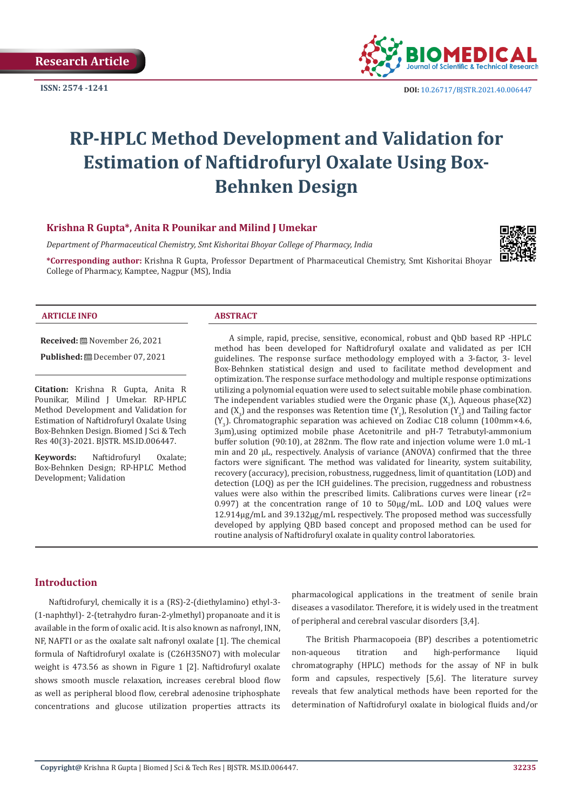

# **RP-HPLC Method Development and Validation for Estimation of Naftidrofuryl Oxalate Using Box-Behnken Design**

#### **Krishna R Gupta\*, Anita R Pounikar and Milind J Umekar**

*Department of Pharmaceutical Chemistry, Smt Kishoritai Bhoyar College of Pharmacy, India*

**\*Corresponding author:** Krishna R Gupta, Professor Department of Pharmaceutical Chemistry, Smt Kishoritai Bhoyar College of Pharmacy, Kamptee, Nagpur (MS), India



#### **ARTICLE INFO ABSTRACT**

**Received:** November 26, 2021

**Published:** December 07, 2021

**Citation:** Krishna R Gupta, Anita R Pounikar, Milind J Umekar. RP-HPLC Method Development and Validation for Estimation of Naftidrofuryl Oxalate Using Box-Behnken Design. Biomed J Sci & Tech Res 40(3)-2021. BJSTR. MS.ID.006447.

**Keywords:** Naftidrofuryl Oxalate; Box-Behnken Design; RP-HPLC Method Development; Validation

A simple, rapid, precise, sensitive, economical, robust and QbD based RP -HPLC method has been developed for Naftidrofuryl oxalate and validated as per ICH guidelines. The response surface methodology employed with a 3-factor, 3- level Box-Behnken statistical design and used to facilitate method development and optimization. The response surface methodology and multiple response optimizations utilizing a polynomial equation were used to select suitable mobile phase combination. The independent variables studied were the Organic phase  $(X_1)$ , Aqueous phase(X2) and  $(X_3)$  and the responses was Retention time  $(Y_1)$ , Resolution  $(Y_2)$  and Tailing factor  $(Y_{3})$ . Chromatographic separation was achieved on Zodiac C18 column (100mm×4.6, 3µm),using optimized mobile phase Acetonitrile and pH-7 Tetrabutyl-ammonium buffer solution (90:10), at 282nm. The flow rate and injection volume were 1.0 mL-1 min and 20 µL, respectively. Analysis of variance (ANOVA) confirmed that the three factors were significant. The method was validated for linearity, system suitability, recovery (accuracy), precision, robustness, ruggedness, limit of quantitation (LOD) and detection (LOQ) as per the ICH guidelines. The precision, ruggedness and robustness values were also within the prescribed limits. Calibrations curves were linear (r2= 0.997) at the concentration range of 10 to 50μg/mL. LOD and LOQ values were 12.914µg/mL and 39.132µg/mL respectively. The proposed method was successfully developed by applying QBD based concept and proposed method can be used for routine analysis of Naftidrofuryl oxalate in quality control laboratories.

#### **Introduction**

Naftidrofuryl, chemically it is a (RS)-2-(diethylamino) ethyl-3- (1-naphthyl)- 2-(tetrahydro furan-2-ylmethyl) propanoate and it is available in the form of oxalic acid. It is also known as nafronyl, INN, NF, NAFTI or as the oxalate salt nafronyl oxalate [1]. The chemical formula of Naftidrofuryl oxalate is (C26H35NO7) with molecular weight is 473.56 as shown in Figure 1 [2]. Naftidrofuryl oxalate shows smooth muscle relaxation, increases cerebral blood flow as well as peripheral blood flow, cerebral adenosine triphosphate concentrations and glucose utilization properties attracts its

pharmacological applications in the treatment of senile brain diseases a vasodilator. Therefore, it is widely used in the treatment of peripheral and cerebral vascular disorders [3,4].

The British Pharmacopoeia (BP) describes a potentiometric non-aqueous titration and high-performance liquid chromatography (HPLC) methods for the assay of NF in bulk form and capsules, respectively [5,6]. The literature survey reveals that few analytical methods have been reported for the determination of Naftidrofuryl oxalate in biological fluids and/or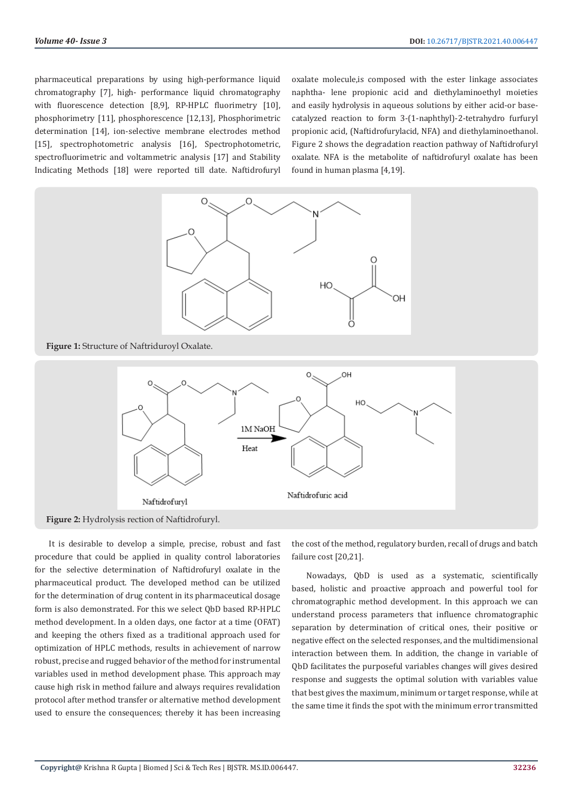pharmaceutical preparations by using high-performance liquid chromatography [7], high- performance liquid chromatography with fluorescence detection [8,9], RP-HPLC fluorimetry [10], phosphorimetry [11], phosphorescence [12,13], Phosphorimetric determination [14], ion-selective membrane electrodes method [15], spectrophotometric analysis [16], Spectrophotometric, spectrofluorimetric and voltammetric analysis [17] and Stability Indicating Methods [18] were reported till date. Naftidrofuryl

oxalate molecule,is composed with the ester linkage associates naphtha- lene propionic acid and diethylaminoethyl moieties and easily hydrolysis in aqueous solutions by either acid-or basecatalyzed reaction to form 3-(1-naphthyl)-2-tetrahydro furfuryl propionic acid, (Naftidrofurylacid, NFA) and diethylaminoethanol. Figure 2 shows the degradation reaction pathway of Naftidrofuryl oxalate. NFA is the metabolite of naftidrofuryl oxalate has been found in human plasma [4,19].





It is desirable to develop a simple, precise, robust and fast procedure that could be applied in quality control laboratories for the selective determination of Naftidrofuryl oxalate in the pharmaceutical product. The developed method can be utilized for the determination of drug content in its pharmaceutical dosage form is also demonstrated. For this we select QbD based RP-HPLC method development. In a olden days, one factor at a time (OFAT) and keeping the others fixed as a traditional approach used for optimization of HPLC methods, results in achievement of narrow robust, precise and rugged behavior of the method for instrumental variables used in method development phase. This approach may cause high risk in method failure and always requires revalidation protocol after method transfer or alternative method development used to ensure the consequences; thereby it has been increasing

the cost of the method, regulatory burden, recall of drugs and batch failure cost [20,21].

Nowadays, QbD is used as a systematic, scientifically based, holistic and proactive approach and powerful tool for chromatographic method development. In this approach we can understand process parameters that influence chromatographic separation by determination of critical ones, their positive or negative effect on the selected responses, and the multidimensional interaction between them. In addition, the change in variable of QbD facilitates the purposeful variables changes will gives desired response and suggests the optimal solution with variables value that best gives the maximum, minimum or target response, while at the same time it finds the spot with the minimum error transmitted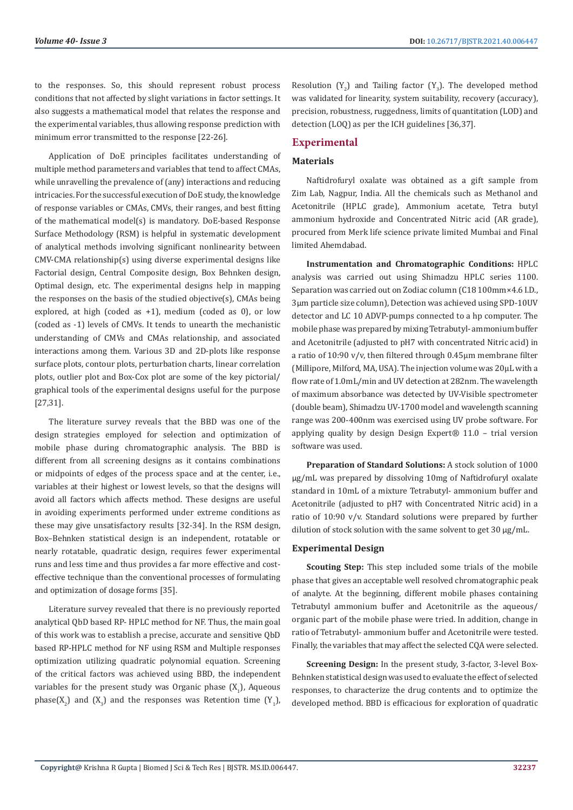to the responses. So, this should represent robust process conditions that not affected by slight variations in factor settings. It also suggests a mathematical model that relates the response and the experimental variables, thus allowing response prediction with minimum error transmitted to the response [22-26].

Application of DoE principles facilitates understanding of multiple method parameters and variables that tend to affect CMAs, while unravelling the prevalence of (any) interactions and reducing intricacies. For the successful execution of DoE study, the knowledge of response variables or CMAs, CMVs, their ranges, and best fitting of the mathematical model(s) is mandatory. DoE-based Response Surface Methodology (RSM) is helpful in systematic development of analytical methods involving significant nonlinearity between CMV-CMA relationship(s) using diverse experimental designs like Factorial design, Central Composite design, Box Behnken design, Optimal design, etc. The experimental designs help in mapping the responses on the basis of the studied objective(s), CMAs being explored, at high (coded as +1), medium (coded as 0), or low (coded as -1) levels of CMVs. It tends to unearth the mechanistic understanding of CMVs and CMAs relationship, and associated interactions among them. Various 3D and 2D-plots like response surface plots, contour plots, perturbation charts, linear correlation plots, outlier plot and Box-Cox plot are some of the key pictorial/ graphical tools of the experimental designs useful for the purpose [27,31].

The literature survey reveals that the BBD was one of the design strategies employed for selection and optimization of mobile phase during chromatographic analysis. The BBD is different from all screening designs as it contains combinations or midpoints of edges of the process space and at the center, i.e., variables at their highest or lowest levels, so that the designs will avoid all factors which affects method. These designs are useful in avoiding experiments performed under extreme conditions as these may give unsatisfactory results [32-34]. In the RSM design, Box–Behnken statistical design is an independent, rotatable or nearly rotatable, quadratic design, requires fewer experimental runs and less time and thus provides a far more effective and costeffective technique than the conventional processes of formulating and optimization of dosage forms [35].

Literature survey revealed that there is no previously reported analytical QbD based RP- HPLC method for NF. Thus, the main goal of this work was to establish a precise, accurate and sensitive QbD based RP-HPLC method for NF using RSM and Multiple responses optimization utilizing quadratic polynomial equation. Screening of the critical factors was achieved using BBD, the independent variables for the present study was Organic phase  $(X_1)$ , Aqueous phase( $X_2$ ) and ( $X_3$ ) and the responses was Retention time ( $Y_1$ ), Resolution  $(Y_2)$  and Tailing factor  $(Y_3)$ . The developed method was validated for linearity, system suitability, recovery (accuracy), precision, robustness, ruggedness, limits of quantitation (LOD) and detection (LOQ) as per the ICH guidelines [36,37].

# **Experimental**

# **Materials**

Naftidrofuryl oxalate was obtained as a gift sample from Zim Lab, Nagpur, India. All the chemicals such as Methanol and Acetonitrile (HPLC grade), Ammonium acetate, Tetra butyl ammonium hydroxide and Concentrated Nitric acid (AR grade), procured from Merk life science private limited Mumbai and Final limited Ahemdabad.

**Instrumentation and Chromatographic Conditions:** HPLC analysis was carried out using Shimadzu HPLC series 1100. Separation was carried out on Zodiac column (C18 100mm×4.6 I.D., 3µm particle size column), Detection was achieved using SPD-10UV detector and LC 10 ADVP-pumps connected to a hp computer. The mobile phase was prepared by mixing Tetrabutyl- ammonium buffer and Acetonitrile (adjusted to pH7 with concentrated Nitric acid) in a ratio of 10:90 v/v, then filtered through 0.45μm membrane filter (Millipore, Milford, MA, USA). The injection volume was 20μL with a flow rate of 1.0mL/min and UV detection at 282nm. The wavelength of maximum absorbance was detected by UV-Visible spectrometer (double beam), Shimadzu UV-1700 model and wavelength scanning range was 200-400nm was exercised using UV probe software. For applying quality by design Design Expert® 11.0 – trial version software was used.

**Preparation of Standard Solutions:** A stock solution of 1000 µg/mL was prepared by dissolving 10mg of Naftidrofuryl oxalate standard in 10mL of a mixture Tetrabutyl- ammonium buffer and Acetonitrile (adjusted to pH7 with Concentrated Nitric acid) in a ratio of 10:90 v/v. Standard solutions were prepared by further dilution of stock solution with the same solvent to get 30 µg/mL.

#### **Experimental Design**

**Scouting Step:** This step included some trials of the mobile phase that gives an acceptable well resolved chromatographic peak of analyte. At the beginning, different mobile phases containing Tetrabutyl ammonium buffer and Acetonitrile as the aqueous/ organic part of the mobile phase were tried. In addition, change in ratio of Tetrabutyl- ammonium buffer and Acetonitrile were tested. Finally, the variables that may affect the selected CQA were selected.

**Screening Design:** In the present study, 3-factor, 3-level Box-Behnken statistical design was used to evaluate the effect of selected responses, to characterize the drug contents and to optimize the developed method. BBD is efficacious for exploration of quadratic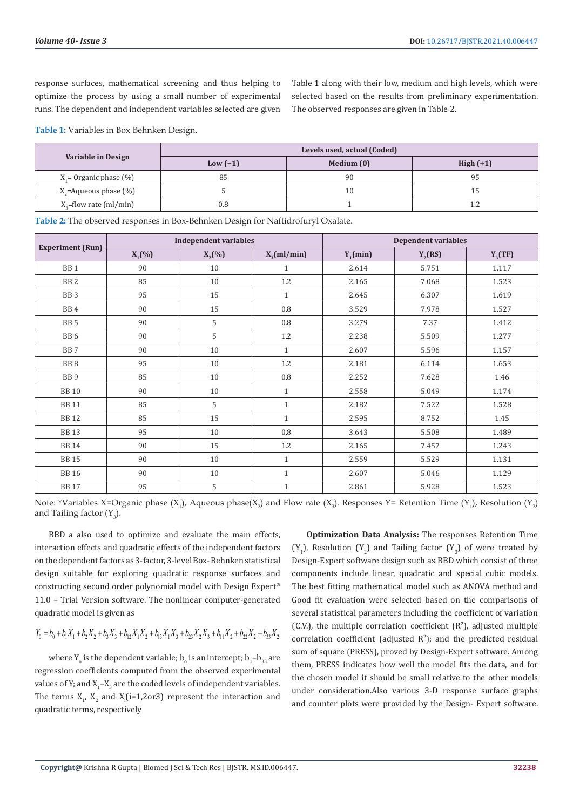response surfaces, mathematical screening and thus helping to optimize the process by using a small number of experimental runs. The dependent and independent variables selected are given Table 1 along with their low, medium and high levels, which were selected based on the results from preliminary experimentation. The observed responses are given in Table 2.

**Table 1:** Variables in Box Behnken Design.

|                              | Levels used, actual (Coded) |            |             |  |  |
|------------------------------|-----------------------------|------------|-------------|--|--|
| Variable in Design           | Low $(-1)$                  | Medium (0) | High $(+1)$ |  |  |
| $X_i$ = Organic phase $(\%)$ | 85                          | 90         | 95          |  |  |
| $X_{2}$ =Aqueous phase (%)   |                             | 10         | 15          |  |  |
| $X_{2}$ =flow rate (ml/min)  | 0.8                         |            |             |  |  |

**Table 2:** The observed responses in Box-Behnken Design for Naftidrofuryl Oxalate.

|                         | <b>Independent variables</b> |           | <b>Dependent variables</b> |             |           |           |
|-------------------------|------------------------------|-----------|----------------------------|-------------|-----------|-----------|
| <b>Experiment (Run)</b> | $X_1$ (%)                    | $X_2(\%)$ | $X_{2}(ml/min)$            | $Y_1$ (min) | $Y_2(RS)$ | $Y_3(TF)$ |
| BB <sub>1</sub>         | 90                           | 10        | $\mathbf{1}$               | 2.614       | 5.751     | 1.117     |
| BB <sub>2</sub>         | 85                           | 10        | 1.2                        | 2.165       | 7.068     | 1.523     |
| BB <sub>3</sub>         | 95                           | 15        | $\mathbf{1}$               | 2.645       | 6.307     | 1.619     |
| BB <sub>4</sub>         | 90                           | 15        | $0.8\,$                    | 3.529       | 7.978     | 1.527     |
| BB <sub>5</sub>         | 90                           | 5         | 0.8                        | 3.279       | 7.37      | 1.412     |
| BB <sub>6</sub>         | 90                           | 5         | 1.2                        | 2.238       | 5.509     | 1.277     |
| BB7                     | 90                           | 10        | $\mathbf{1}$               | 2.607       | 5.596     | 1.157     |
| BB <sub>8</sub>         | 95                           | 10        | 1.2                        | 2.181       | 6.114     | 1.653     |
| BB <sub>9</sub>         | 85                           | 10        | 0.8                        | 2.252       | 7.628     | 1.46      |
| <b>BB10</b>             | 90                           | 10        | $\mathbf{1}$               | 2.558       | 5.049     | 1.174     |
| <b>BB11</b>             | 85                           | 5         | $\mathbf{1}$               | 2.182       | 7.522     | 1.528     |
| <b>BB12</b>             | 85                           | 15        | $\mathbf{1}$               | 2.595       | 8.752     | 1.45      |
| <b>BB13</b>             | 95                           | 10        | $0.8\,$                    | 3.643       | 5.508     | 1.489     |
| <b>BB14</b>             | 90                           | 15        | 1.2                        | 2.165       | 7.457     | 1.243     |
| <b>BB15</b>             | 90                           | 10        | $\mathbf{1}$               | 2.559       | 5.529     | 1.131     |
| <b>BB16</b>             | 90                           | 10        | $\mathbf{1}$               | 2.607       | 5.046     | 1.129     |
| <b>BB17</b>             | 95                           | 5         | $\mathbf{1}$               | 2.861       | 5.928     | 1.523     |

Note: \*Variables X=Organic phase (X<sub>1</sub>), Aqueous phase(X<sub>2</sub>) and Flow rate (X<sub>3</sub>). Responses Y= Retention Time (Y<sub>1</sub>), Resolution (Y<sub>2</sub>) and Tailing factor  $(Y_3)$ .

BBD a also used to optimize and evaluate the main effects, interaction effects and quadratic effects of the independent factors on the dependent factors as 3-factor, 3-level Box- Behnken statistical design suitable for exploring quadratic response surfaces and constructing second order polynomial model with Design Expert® 11.0 – Trial Version software. The nonlinear computer-generated quadratic model is given as

$$
Y_0 = b_0 + b_1 X_1 + b_2 X_2 + b_3 X_3 + b_{12} X_1 X_2 + b_{13} X_1 X_3 + b_{23} X_2 X_3 + b_{11} X_2 + b_{22} X_2 + b_{33} X_2
$$

where Y<sub>o</sub> is the dependent variable;  $b_{\text{o}}$  is an intercept;  $b_{\text{1}}$ – $b_{\text{33}}$  are regression coefficients computed from the observed experimental values of Y; and  $X_1$ – $X_3$  are the coded levels of independent variables. The terms  $X_1$ ,  $X_2$  and  $X_i$  (i=1,2or3) represent the interaction and quadratic terms, respectively

**Optimization Data Analysis:** The responses Retention Time  $(Y_1)$ , Resolution  $(Y_2)$  and Tailing factor  $(Y_3)$  of were treated by Design-Expert software design such as BBD which consist of three components include linear, quadratic and special cubic models. The best fitting mathematical model such as ANOVA method and Good fit evaluation were selected based on the comparisons of several statistical parameters including the coefficient of variation  $(C.V.)$ , the multiple correlation coefficient  $(R<sup>2</sup>)$ , adjusted multiple correlation coefficient (adjusted  $R^2$ ); and the predicted residual sum of square (PRESS), proved by Design-Expert software. Among them, PRESS indicates how well the model fits the data, and for the chosen model it should be small relative to the other models under consideration.Also various 3-D response surface graphs and counter plots were provided by the Design- Expert software.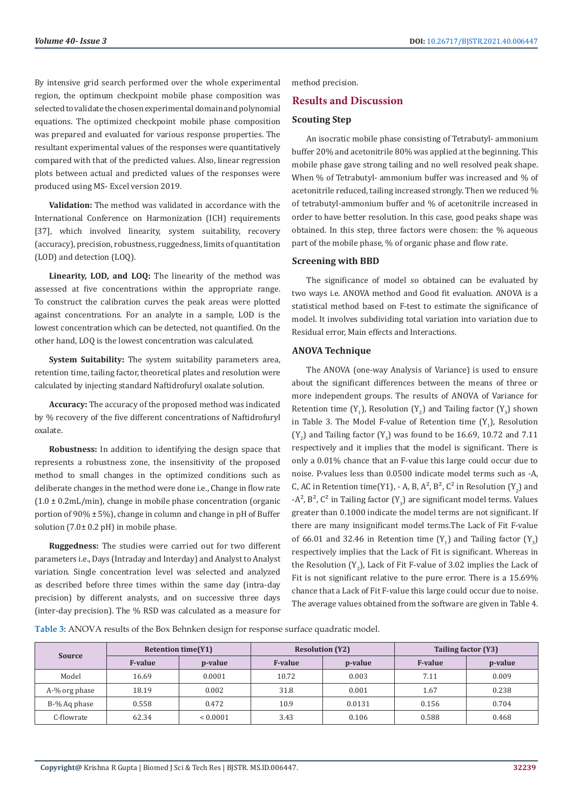By intensive grid search performed over the whole experimental region, the optimum checkpoint mobile phase composition was selected to validate the chosen experimental domain and polynomial equations. The optimized checkpoint mobile phase composition was prepared and evaluated for various response properties. The resultant experimental values of the responses were quantitatively compared with that of the predicted values. Also, linear regression plots between actual and predicted values of the responses were produced using MS- Excel version 2019.

**Validation:** The method was validated in accordance with the International Conference on Harmonization (ICH) requirements [37], which involved linearity, system suitability, recovery (accuracy), precision, robustness, ruggedness, limits of quantitation (LOD) and detection (LOQ).

**Linearity, LOD, and LOQ:** The linearity of the method was assessed at five concentrations within the appropriate range. To construct the calibration curves the peak areas were plotted against concentrations. For an analyte in a sample, LOD is the lowest concentration which can be detected, not quantified. On the other hand, LOQ is the lowest concentration was calculated.

**System Suitability:** The system suitability parameters area, retention time, tailing factor, theoretical plates and resolution were calculated by injecting standard Naftidrofuryl oxalate solution.

**Accuracy:** The accuracy of the proposed method was indicated by % recovery of the five different concentrations of Naftidrofuryl oxalate.

**Robustness:** In addition to identifying the design space that represents a robustness zone, the insensitivity of the proposed method to small changes in the optimized conditions such as deliberate changes in the method were done i.e., Change in flow rate  $(1.0 \pm 0.2 \text{mL/min})$ , change in mobile phase concentration (organic portion of 90% ± 5%), change in column and change in pH of Buffer solution (7.0± 0.2 pH) in mobile phase.

**Ruggedness:** The studies were carried out for two different parameters i.e., Days (Intraday and Interday) and Analyst to Analyst variation. Single concentration level was selected and analyzed as described before three times within the same day (intra-day precision) by different analysts, and on successive three days (inter-day precision). The % RSD was calculated as a measure for

method precision.

## **Results and Discussion**

# **Scouting Step**

An isocratic mobile phase consisting of Tetrabutyl- ammonium buffer 20% and acetonitrile 80% was applied at the beginning. This mobile phase gave strong tailing and no well resolved peak shape. When % of Tetrabutyl- ammonium buffer was increased and % of acetonitrile reduced, tailing increased strongly. Then we reduced % of tetrabutyl-ammonium buffer and % of acetonitrile increased in order to have better resolution. In this case, good peaks shape was obtained. In this step, three factors were chosen: the % aqueous part of the mobile phase, % of organic phase and flow rate.

#### **Screening with BBD**

The significance of model so obtained can be evaluated by two ways i.e. ANOVA method and Good fit evaluation. ANOVA is a statistical method based on F-test to estimate the significance of model. It involves subdividing total variation into variation due to Residual error, Main effects and Interactions.

#### **ANOVA Technique**

The ANOVA (one-way Analysis of Variance) is used to ensure about the significant differences between the means of three or more independent groups. The results of ANOVA of Variance for Retention time  $(Y_1)$ , Resolution  $(Y_2)$  and Tailing factor  $(Y_3)$  shown in Table 3. The Model F-value of Retention time  $(Y_1)$ , Resolution  $(Y_2)$  and Tailing factor  $(Y_3)$  was found to be 16.69, 10.72 and 7.11 respectively and it implies that the model is significant. There is only a 0.01% chance that an F-value this large could occur due to noise. P-values less than 0.0500 indicate model terms such as -A, C, AC in Retention time(Y1), - A, B, A<sup>2</sup>, B<sup>2</sup>, C<sup>2</sup> in Resolution (Y<sub>2</sub>) and -A $\degree$ , B $\degree$ , C $\degree$  in Tailing factor (Y<sub>3</sub>) are significant model terms. Values greater than 0.1000 indicate the model terms are not significant. If there are many insignificant model terms.The Lack of Fit F-value of 66.01 and 32.46 in Retention time  $(Y_1)$  and Tailing factor  $(Y_3)$ respectively implies that the Lack of Fit is significant. Whereas in the Resolution (Y<sub>2</sub>), Lack of Fit F-value of 3.02 implies the Lack of Fit is not significant relative to the pure error. There is a 15.69% chance that a Lack of Fit F-value this large could occur due to noise. The average values obtained from the software are given in Table 4.

**Table 3:** ANOVA results of the Box Behnken design for response surface quadratic model.

| <b>Retention time(Y1)</b> |                |              | <b>Resolution (Y2)</b> |         | Tailing factor (Y3) |         |
|---------------------------|----------------|--------------|------------------------|---------|---------------------|---------|
| <b>Source</b>             | <b>F-value</b> | p-value      | <b>F-value</b>         | p-value | <b>F-value</b>      | p-value |
| Model                     | 16.69          | 0.0001       | 10.72                  | 0.003   | 7.11                | 0.009   |
| A-% org phase             | 18.19          | 0.002        | 31.8                   | 0.001   | 1.67                | 0.238   |
| B-% Ag phase              | 0.558          | 0.472        | 10.9                   | 0.0131  | 0.156               | 0.704   |
| C-flowrate                | 62.34          | ${}< 0.0001$ | 3.43                   | 0.106   | 0.588               | 0.468   |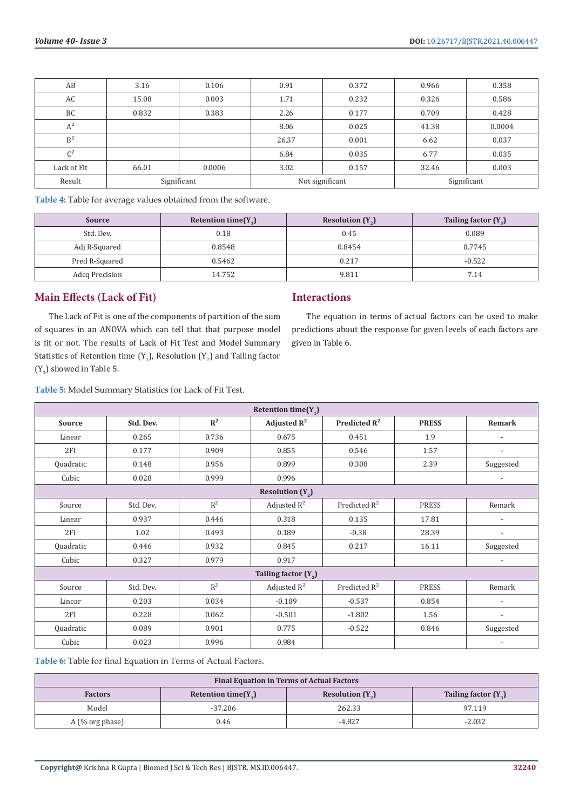| AB             | 3.16  | 0.106       | 0.91  | 0.372           | 0.966 | 0.358       |
|----------------|-------|-------------|-------|-----------------|-------|-------------|
| AC             | 15.08 | 0.003       | 1.71  | 0.232           | 0.326 | 0.586       |
| BC             | 0.832 | 0.383       | 2.26  | 0.177           | 0.709 | 0.428       |
| $A^2$          |       |             | 8.06  | 0.025           | 41.38 | 0.0004      |
| B <sup>2</sup> |       |             | 26.37 | 0.001           | 6.62  | 0.037       |
| $C^2$          |       |             | 6.84  | 0.035           | 6.77  | 0.035       |
| Lack of Fit    | 66.01 | 0.0006      | 3.02  | 0.157           | 32.46 | 0.003       |
| Result         |       | Significant |       | Not significant |       | Significant |

**Table 4:** Table for average values obtained from the software.

| <b>Source</b>  | Retention time $(Y_1)$ | Resolution $(Y_2)$ | Tailing factor $(Y_2)$ |
|----------------|------------------------|--------------------|------------------------|
| Std. Dev.      | 0.18                   | 0.45               | 0.089                  |
| Adj R-Squared  | 0.8548                 | 0.8454             | 0.7745                 |
| Pred R-Squared | 0.5462                 | 0.217              | $-0.522$               |
| Adeq Precision | 14.752                 | 9.811              | 7.14                   |

# **Main Effects (Lack of Fit)**

The Lack of Fit is one of the components of partition of the sum of squares in an ANOVA which can tell that that purpose model is fit or not. The results of Lack of Fit Test and Model Summary Statistics of Retention time  $(Y_1)$ , Resolution  $(Y_2)$  and Tailing factor  $(Y_{3})$  showed in Table 5.

#### **Interactions**

The equation in terms of actual factors can be used to make predictions about the response for given levels of each factors are given in Table 6.

**Table 5:** Model Summary Statistics for Lack of Fit Test.

| Retention time( $Y_1$ ) |           |                |                        |                 |              |                          |  |
|-------------------------|-----------|----------------|------------------------|-----------------|--------------|--------------------------|--|
| Source                  | Std. Dev. | $\mathbb{R}^2$ | Adjusted $R^2$         | Predicted $R^2$ | <b>PRESS</b> | <b>Remark</b>            |  |
| Linear                  | 0.265     | 0.736          | 0.675                  | 0.451           | 1.9          | $\overline{\phantom{a}}$ |  |
| 2FI                     | 0.177     | 0.909          | 0.855                  | 0.546           | 1.57         | $\overline{a}$           |  |
| Quadratic               | 0.148     | 0.956          | 0.899                  | 0.308           | 2.39         | Suggested                |  |
| Cubic                   | 0.028     | 0.999          | 0.996                  |                 |              |                          |  |
|                         |           |                | Resolution $(Y_2)$     |                 |              |                          |  |
| Source                  | Std. Dev. | $R^2$          | Adjusted $R^2$         | Predicted $R^2$ | <b>PRESS</b> | Remark                   |  |
| Linear                  | 0.937     | 0.446          | 0.318                  | 0.135           | 17.81        |                          |  |
| 2FI                     | 1.02      | 0.493          | 0.189                  | $-0.38$         | 28.39        |                          |  |
| Quadratic               | 0.446     | 0.932          | 0.845                  | 0.217           | 16.11        | Suggested                |  |
| Cubic                   | 0.327     | 0.979          | 0.917                  |                 |              | $\overline{\phantom{a}}$ |  |
|                         |           |                | Tailing factor $(Y_2)$ |                 |              |                          |  |
| Source                  | Std. Dev. | $R^2$          | Adjusted $R^2$         | Predicted $R^2$ | <b>PRESS</b> | Remark                   |  |
| Linear                  | 0.203     | 0.034          | $-0.189$               | $-0.537$        | 0.854        | $\overline{\phantom{a}}$ |  |
| 2FI                     | 0.228     | 0.062          | $-0.501$               | $-1.802$        | 1.56         | $\overline{\phantom{a}}$ |  |
| Quadratic               | 0.089     | 0.901          | 0.775                  | $-0.522$        | 0.846        | Suggested                |  |
| Cubic                   | 0.023     | 0.996          | 0.984                  |                 |              |                          |  |

**Table 6:** Table for final Equation in Terms of Actual Factors.

| <b>Final Equation in Terms of Actual Factors</b>                                                |           |          |          |  |  |
|-------------------------------------------------------------------------------------------------|-----------|----------|----------|--|--|
| Tailing factor $(Y_2)$<br>Resolution $(Y_{\alpha})$<br>Retention time $(Y_1)$<br><b>Factors</b> |           |          |          |  |  |
| Model                                                                                           | $-37.206$ | 262.33   | 97.119   |  |  |
| $A$ (% org phase)                                                                               | 0.46      | $-4.827$ | $-2.032$ |  |  |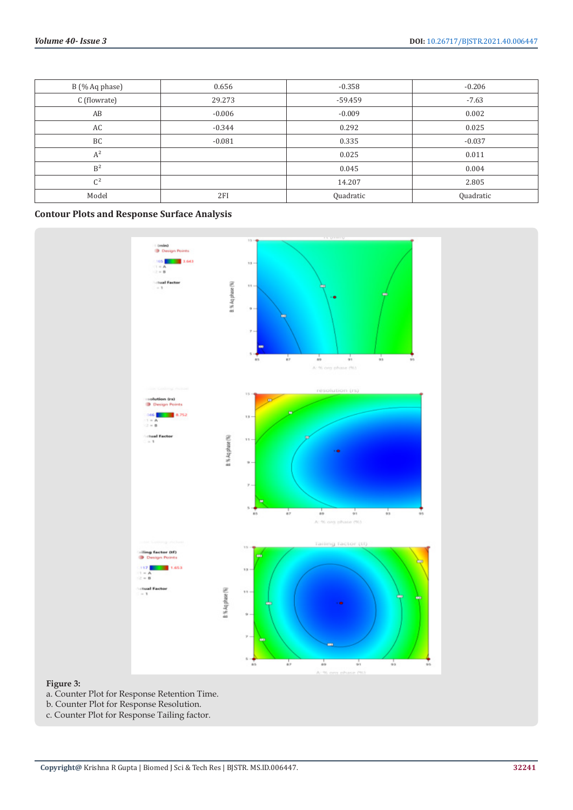| B (% Aq phase) | 0.656    | $-0.358$  | $-0.206$  |
|----------------|----------|-----------|-----------|
| C (flowrate)   | 29.273   | $-59.459$ | $-7.63$   |
| AB             | $-0.006$ | $-0.009$  | 0.002     |
| AC             | $-0.344$ | 0.292     | 0.025     |
| BC             | $-0.081$ | 0.335     | $-0.037$  |
| $A^2$          |          | 0.025     | 0.011     |
| $\rm B^2$      |          | 0.045     | 0.004     |
| $C^2$          |          | 14.207    | 2.805     |
| Model          | 2FI      | Quadratic | Quadratic |

# **Contour Plots and Response Surface Analysis**



# **Figure 3:**

- a. Counter Plot for Response Retention Time.
- b. Counter Plot for Response Resolution.
- c. Counter Plot for Response Tailing factor.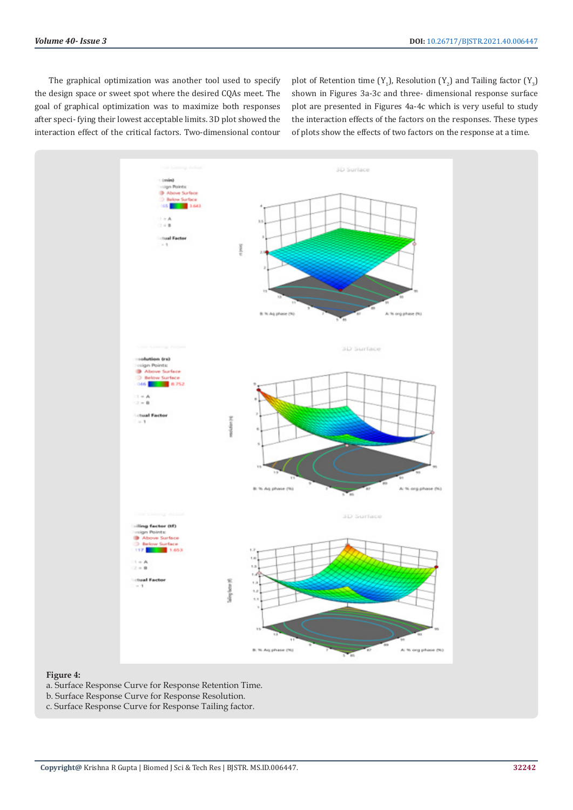The graphical optimization was another tool used to specify the design space or sweet spot where the desired CQAs meet. The goal of graphical optimization was to maximize both responses after speci- fying their lowest acceptable limits. 3D plot showed the interaction effect of the critical factors. Two-dimensional contour

plot of Retention time (Y<sub>1</sub>), Resolution (Y<sub>2</sub>) and Tailing factor (Y<sub>3</sub>) shown in Figures 3a-3c and three- dimensional response surface plot are presented in Figures 4a-4c which is very useful to study the interaction effects of the factors on the responses. These types of plots show the effects of two factors on the response at a time.



#### **Figure 4:**

- a. Surface Response Curve for Response Retention Time.
- b. Surface Response Curve for Response Resolution.
- c. Surface Response Curve for Response Tailing factor.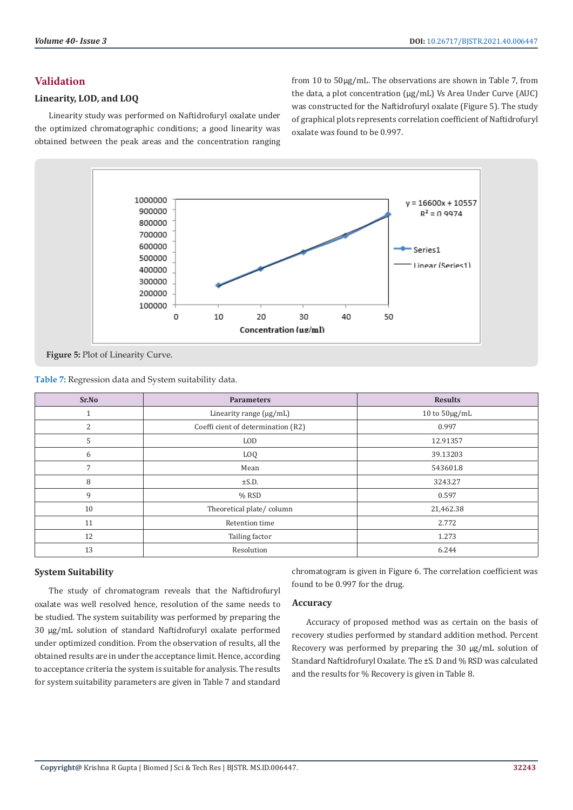# **Validation**

# **Linearity, LOD, and LOQ**

Linearity study was performed on Naftidrofuryl oxalate under the optimized chromatographic conditions; a good linearity was obtained between the peak areas and the concentration ranging from 10 to 50µg/mL. The observations are shown in Table 7, from the data, a plot concentration (µg/mL) Vs Area Under Curve (AUC) was constructed for the Naftidrofuryl oxalate (Figure 5). The study of graphical plots represents correlation coefficient of Naftidrofuryl oxalate was found to be 0.997.



**Table 7:** Regression data and System suitability data.

| Sr.No | <b>Parameters</b>                  | <b>Results</b>     |
|-------|------------------------------------|--------------------|
| 4     | Linearity range $(\mu g/mL)$       | 10 to $50\mu g/mL$ |
| 2     | Coeffi cient of determination (R2) | 0.997              |
| 5     | <b>LOD</b>                         | 12.91357           |
| 6     | LOQ                                | 39.13203           |
| 7     | Mean                               | 543601.8           |
| 8     | $\pm$ S.D.                         | 3243.27            |
| 9     | $%$ RSD                            | 0.597              |
| 10    | Theoretical plate/column           | 21,462.38          |
| 11    | Retention time                     | 2.772              |
| 12    | Tailing factor                     | 1.273              |
| 13    | Resolution                         | 6.244              |

## **System Suitability**

The study of chromatogram reveals that the Naftidrofuryl oxalate was well resolved hence, resolution of the same needs to be studied. The system suitability was performed by preparing the 30 µg/mL solution of standard Naftidrofuryl oxalate performed under optimized condition. From the observation of results, all the obtained results are in under the acceptance limit. Hence, according to acceptance criteria the system is suitable for analysis. The results for system suitability parameters are given in Table 7 and standard

chromatogram is given in Figure 6. The correlation coefficient was found to be 0.997 for the drug.

#### **Accuracy**

Accuracy of proposed method was as certain on the basis of recovery studies performed by standard addition method. Percent Recovery was performed by preparing the 30 µg/mL solution of Standard Naftidrofuryl Oxalate. The ±S. D and % RSD was calculated and the results for % Recovery is given in Table 8.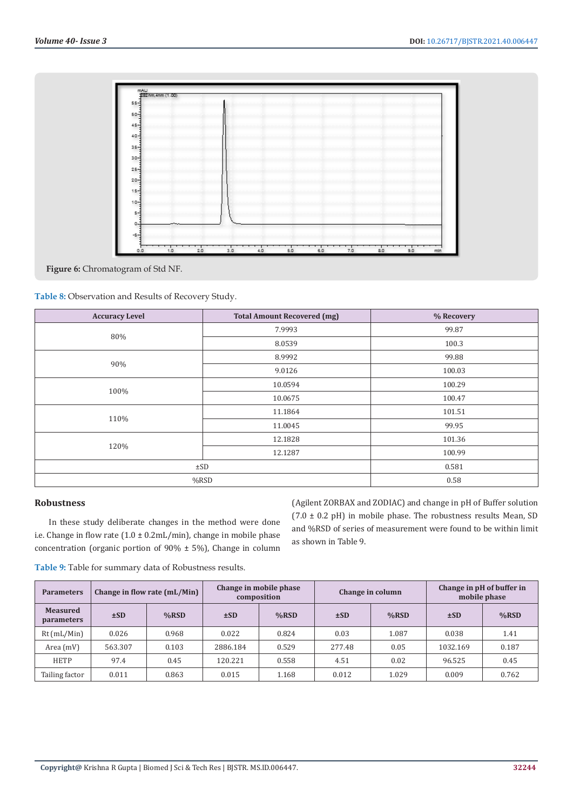

**Figure 6:** Chromatogram of Std NF.

**Table 8:** Observation and Results of Recovery Study.

| <b>Accuracy Level</b> | <b>Total Amount Recovered (mg)</b> | % Recovery |  |  |
|-----------------------|------------------------------------|------------|--|--|
|                       | 7.9993                             | 99.87      |  |  |
| 80%                   | 8.0539                             | 100.3      |  |  |
| 90%                   | 8.9992                             | 99.88      |  |  |
|                       | 9.0126                             | 100.03     |  |  |
|                       | 10.0594                            | 100.29     |  |  |
| 100%                  | 10.0675                            | 100.47     |  |  |
| 110%                  | 11.1864                            | 101.51     |  |  |
|                       | 11.0045                            | 99.95      |  |  |
| 120%                  | 12.1828                            | 101.36     |  |  |
|                       | 12.1287                            | 100.99     |  |  |
| $\pm$ SD              | 0.581                              |            |  |  |
|                       | $%$ RSD                            |            |  |  |

#### **Robustness**

In these study deliberate changes in the method were done i.e. Change in flow rate (1.0 ± 0.2mL/min), change in mobile phase concentration (organic portion of 90% ± 5%), Change in column

(Agilent ZORBAX and ZODIAC) and change in pH of Buffer solution  $(7.0 \pm 0.2 \text{ pH})$  in mobile phase. The robustness results Mean, SD and %RSD of series of measurement were found to be within limit as shown in Table 9.

**Table 9:** Table for summary data of Robustness results.

| <b>Parameters</b>             |         | Change in flow rate (mL/Min) | Change in mobile phase<br>composition |         | Change in column |         | Change in pH of buffer in<br>mobile phase |         |
|-------------------------------|---------|------------------------------|---------------------------------------|---------|------------------|---------|-------------------------------------------|---------|
| <b>Measured</b><br>parameters | ±SD     | $%$ RSD                      | ±SD                                   | $%$ RSD | $\pm SD$         | $%$ RSD | $\pm SD$                                  | $%$ RSD |
| $Rt$ (mL/Min)                 | 0.026   | 0.968                        | 0.022                                 | 0.824   | 0.03             | 1.087   | 0.038                                     | 1.41    |
| Area (mV)                     | 563.307 | 0.103                        | 2886.184                              | 0.529   | 277.48           | 0.05    | 1032.169                                  | 0.187   |
| <b>HETP</b>                   | 97.4    | 0.45                         | 120.221                               | 0.558   | 4.51             | 0.02    | 96.525                                    | 0.45    |
| Tailing factor                | 0.011   | 0.863                        | 0.015                                 | 1.168   | 0.012            | 1.029   | 0.009                                     | 0.762   |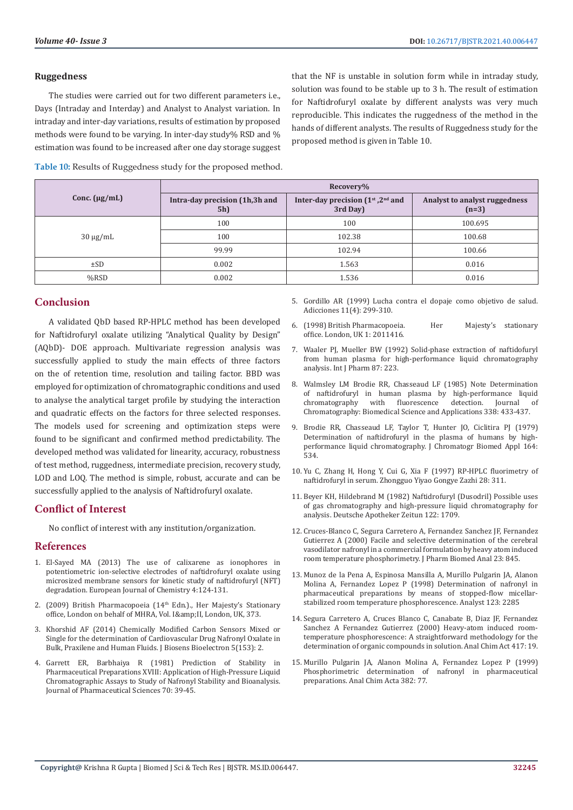#### **Ruggedness**

The studies were carried out for two different parameters i.e., Days (Intraday and Interday) and Analyst to Analyst variation. In intraday and inter-day variations, results of estimation by proposed methods were found to be varying. In inter-day study% RSD and % estimation was found to be increased after one day storage suggest

that the NF is unstable in solution form while in intraday study, solution was found to be stable up to 3 h. The result of estimation for Naftidrofuryl oxalate by different analysts was very much reproducible. This indicates the ruggedness of the method in the hands of different analysts. The results of Ruggedness study for the proposed method is given in Table 10.

**Table 10:** Results of Ruggedness study for the proposed method.

|                    | Recovery%                             |                                                 |                                          |  |  |
|--------------------|---------------------------------------|-------------------------------------------------|------------------------------------------|--|--|
| Conc. $(\mu g/mL)$ | Intra-day precision (1h,3h and<br>5h) | Inter-day precision $(1st, 2nd$ and<br>3rd Day) | Analyst to analyst ruggedness<br>$(n=3)$ |  |  |
|                    | 100                                   | 100                                             | 100.695                                  |  |  |
| $30 \mu g/mL$      | 100                                   | 102.38                                          | 100.68                                   |  |  |
|                    | 99.99                                 | 102.94                                          | 100.66                                   |  |  |
| $\pm SD$           | 0.002                                 | 1.563                                           | 0.016                                    |  |  |
| $%$ RSD            | 0.002                                 | 1.536                                           | 0.016                                    |  |  |

### **Conclusion**

A validated QbD based RP-HPLC method has been developed for Naftidrofuryl oxalate utilizing "Analytical Quality by Design" (AQbD)- DOE approach. Multivariate regression analysis was successfully applied to study the main effects of three factors on the of retention time, resolution and tailing factor. BBD was employed for optimization of chromatographic conditions and used to analyse the analytical target profile by studying the interaction and quadratic effects on the factors for three selected responses. The models used for screening and optimization steps were found to be significant and confirmed method predictability. The developed method was validated for linearity, accuracy, robustness of test method, ruggedness, intermediate precision, recovery study, LOD and LOQ. The method is simple, robust, accurate and can be successfully applied to the analysis of Naftidrofuryl oxalate.

#### **Conflict of Interest**

No conflict of interest with any institution/organization.

# **References**

- 1. [El-Sayed MA \(2013\) The use of calixarene as ionophores in](https://publons.com/publon/27921226/)  [potentiometric ion-selective electrodes of naftidrofuryl oxalate using](https://publons.com/publon/27921226/)  [microsized membrane sensors for kinetic study of naftidrofuryl \(NFT\)](https://publons.com/publon/27921226/)  [degradation. European Journal of Chemistry 4:124-131.](https://publons.com/publon/27921226/)
- 2. (2009) British Pharmacopoeia ( $14<sup>th</sup>$  Edn.)., Her Majesty's Stationary office, London on behalf of MHRA, Vol. I& II, London, UK, 373.
- 3. [Khorshid AF \(2014\) Chemically Modified Carbon Sensors Mixed or](https://www.hilarispublisher.com/open-access/chemically-modified-carbon-sensors-mixed-or-single-for-the-determination-of-cardiovascular-drug-nafronyl-oxalate-in-bulk-praxilene-and-human-fluids-2155-6210.1000153.pdf)  [Single for the determination of Cardiovascular Drug Nafronyl Oxalate in](https://www.hilarispublisher.com/open-access/chemically-modified-carbon-sensors-mixed-or-single-for-the-determination-of-cardiovascular-drug-nafronyl-oxalate-in-bulk-praxilene-and-human-fluids-2155-6210.1000153.pdf)  [Bulk, Praxilene and Human Fluids. J Biosens Bioelectron 5\(153\): 2.](https://www.hilarispublisher.com/open-access/chemically-modified-carbon-sensors-mixed-or-single-for-the-determination-of-cardiovascular-drug-nafronyl-oxalate-in-bulk-praxilene-and-human-fluids-2155-6210.1000153.pdf)
- 4. [Garrett ER, Barbhaiya R \(1981\) Prediction of Stability in](https://pubmed.ncbi.nlm.nih.gov/7229928/)  [Pharmaceutical Preparations XVIII: Application of High-Pressure Liquid](https://pubmed.ncbi.nlm.nih.gov/7229928/)  [Chromatographic Assays to Study of Nafronyl Stability and Bioanalysis.](https://pubmed.ncbi.nlm.nih.gov/7229928/)  [Journal of Pharmaceutical Sciences 70: 39-45.](https://pubmed.ncbi.nlm.nih.gov/7229928/)
- 5. [Gordillo AR \(1999\) Lucha contra el dopaje como objetivo de salud.](https://adicciones.es/index.php/adicciones/article/view/609) [Adicciones 11\(4\): 299-310.](https://adicciones.es/index.php/adicciones/article/view/609)
- 6. (1998) British Pharmacopoeia. Her Majesty's stationary office. London, UK 1: 2011416.
- 7. Waaler PJ, Mueller BW (1992) Solid-phase extraction of naftidofuryl from human plasma for high-performance liquid chromatography analysis. Int J Pharm 87: 223.
- 8. Walmsley LM Brodie RR, Chasseaud LF (1985) Note Determination of naftidrofuryl in human plasma by high-performance liquid<br>chromatography with fluorescence detection. Iournal of fluorescence detection. Chromatography: Biomedical Science and Applications 338: 433-437.
- 9. [Brodie RR, Chasseaud LF, Taylor T, Hunter JO, Ciclitira PJ \(1979\)](https://pubmed.ncbi.nlm.nih.gov/541432/) [Determination of naftidrofuryl in the plasma of humans by high](https://pubmed.ncbi.nlm.nih.gov/541432/)[performance liquid chromatography. J Chromatogr Biomed Appl 164:](https://pubmed.ncbi.nlm.nih.gov/541432/) [534.](https://pubmed.ncbi.nlm.nih.gov/541432/)
- 10. Yu C, Zhang H, Hong Y, Cui G, Xia F (1997) RP-HPLC fluorimetry of naftidrofuryl in serum. Zhongguo Yiyao Gongye Zazhi 28: 311.
- 11. Beyer KH, Hildebrand M (1982) Naftidrofuryl (Dusodril) Possible uses of gas chromatography and high-pressure liquid chromatography for analysis. Deutsche Apotheker Zeitun 122: 1709.
- 12. Cruces-Blanco C, Segura Carretero A, Fernandez Sanchez JF, Fernandez Gutierrez A (2000) Facile and selective determination of the cerebral vasodilator nafronyl in a commercial formulation by heavy atom induced room temperature phosphorimetry. J Pharm Biomed Anal 23: 845.
- 13. Munoz de la Pena A, Espinosa Mansilla A, Murillo Pulgarin JA, Alanon Molina A, Fernandez Lopez P (1998) Determination of nafronyl in pharmaceutical preparations by means of stopped-flow micellarstabilized room temperature phosphorescence. Analyst 123: 2285
- 14. Segura Carretero A, Cruces Blanco C, Canabate B, Diaz JF, Fernandez Sanchez A Fernandez Gutierrez (2000) Heavy-atom induced roomtemperature phosphorescence: A straightforward methodology for the determination of organic compounds in solution. Anal Chim Act 417: 19.
- 15. [Murillo Pulgarin JA, Alanon Molina A, Fernandez Lopez P \(1999\)](https://scienceon.kisti.re.kr/srch/selectPORSrchArticle.do?cn=NART13007498) [Phosphorimetric determination of nafronyl in pharmaceutical](https://scienceon.kisti.re.kr/srch/selectPORSrchArticle.do?cn=NART13007498) [preparations. Anal Chim Acta 382: 77.](https://scienceon.kisti.re.kr/srch/selectPORSrchArticle.do?cn=NART13007498)